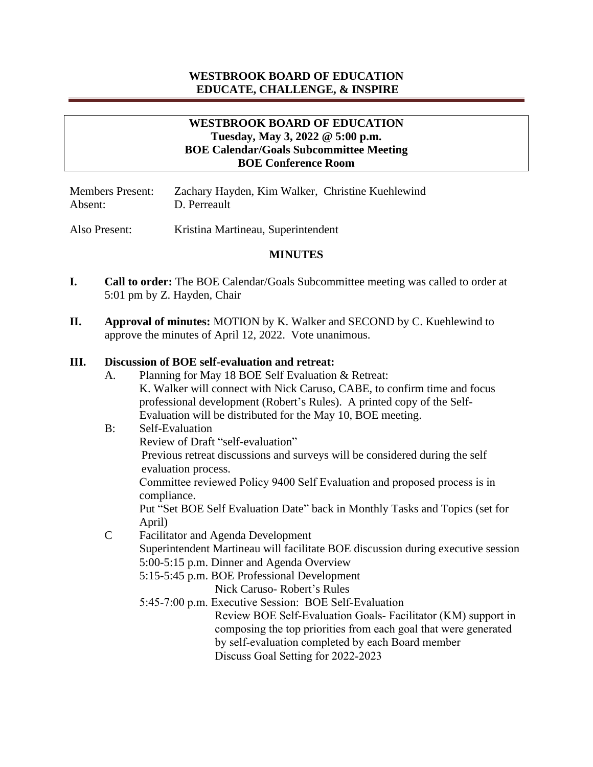# **WESTBROOK BOARD OF EDUCATION EDUCATE, CHALLENGE, & INSPIRE**

### **WESTBROOK BOARD OF EDUCATION Tuesday, May 3, 2022 @ 5:00 p.m. BOE Calendar/Goals Subcommittee Meeting BOE Conference Room**

| <b>Members Present:</b> | Zachary Hayden, Kim Walker, Christine Kuehlewind |  |
|-------------------------|--------------------------------------------------|--|
| Absent:                 | D. Perreault                                     |  |

Also Present: Kristina Martineau, Superintendent

#### **MINUTES**

- **I. Call to order:** The BOE Calendar/Goals Subcommittee meeting was called to order at 5:01 pm by Z. Hayden, Chair
- **II. Approval of minutes:** MOTION by K. Walker and SECOND by C. Kuehlewind to approve the minutes of April 12, 2022. Vote unanimous.

### **III. Discussion of BOE self-evaluation and retreat:**

A. Planning for May 18 BOE Self Evaluation & Retreat: K. Walker will connect with Nick Caruso, CABE, to confirm time and focus professional development (Robert's Rules). A printed copy of the Self-Evaluation will be distributed for the May 10, BOE meeting. B: Self-Evaluation Review of Draft "self-evaluation" Previous retreat discussions and surveys will be considered during the self evaluation process. Committee reviewed Policy 9400 Self Evaluation and proposed process is in compliance. Put "Set BOE Self Evaluation Date" back in Monthly Tasks and Topics (set for April) C Facilitator and Agenda Development Superintendent Martineau will facilitate BOE discussion during executive session 5:00-5:15 p.m. Dinner and Agenda Overview 5:15-5:45 p.m. BOE Professional Development Nick Caruso- Robert's Rules 5:45-7:00 p.m. Executive Session: BOE Self-Evaluation Review BOE Self-Evaluation Goals- Facilitator (KM) support in composing the top priorities from each goal that were generated by self-evaluation completed by each Board member Discuss Goal Setting for 2022-2023